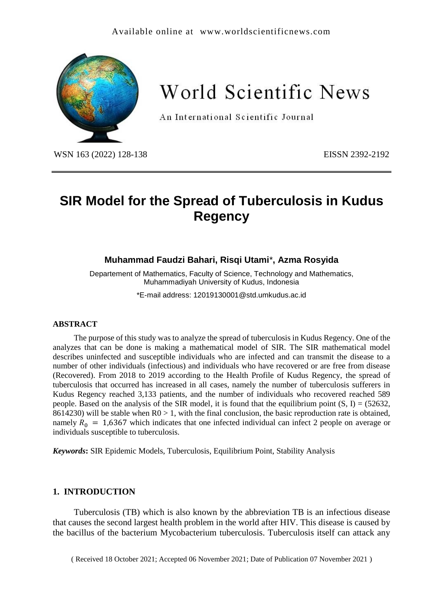# Available online at [www.worldscientificnews.com](http://www.worldscientificnews.com/)



World Scientific News

An International Scientific Journal

WSN 163 (2022) 128-138 EISSN 2392-2192

# **SIR Model for the Spread of Tuberculosis in Kudus Regency**

# **Muhammad Faudzi Bahari, Risqi Utami**\***, Azma Rosyida**

Departement of Mathematics, Faculty of Science, Technology and Mathematics, Muhammadiyah University of Kudus, Indonesia

\*E-mail address: [12019130001@std.umkudus.ac.id](mailto:12019130001@std.umkudus.ac.id)

#### **ABSTRACT**

The purpose of this study was to analyze the spread of tuberculosis in Kudus Regency. One of the analyzes that can be done is making a mathematical model of SIR. The SIR mathematical model describes uninfected and susceptible individuals who are infected and can transmit the disease to a number of other individuals (infectious) and individuals who have recovered or are free from disease (Recovered). From 2018 to 2019 according to the Health Profile of Kudus Regency, the spread of tuberculosis that occurred has increased in all cases, namely the number of tuberculosis sufferers in Kudus Regency reached 3,133 patients, and the number of individuals who recovered reached 589 people. Based on the analysis of the SIR model, it is found that the equilibrium point  $(S, I) = (52632, I)$ 8614230) will be stable when  $R0 > 1$ , with the final conclusion, the basic reproduction rate is obtained, namely  $R_0 = 1,6367$  which indicates that one infected individual can infect 2 people on average or individuals susceptible to tuberculosis.

*Keywords***:** SIR Epidemic Models, Tuberculosis, Equilibrium Point, Stability Analysis

# **1. INTRODUCTION**

Tuberculosis (TB) which is also known by the abbreviation TB is an infectious disease that causes the second largest health problem in the world after HIV. This disease is caused by the bacillus of the bacterium Mycobacterium tuberculosis. Tuberculosis itself can attack any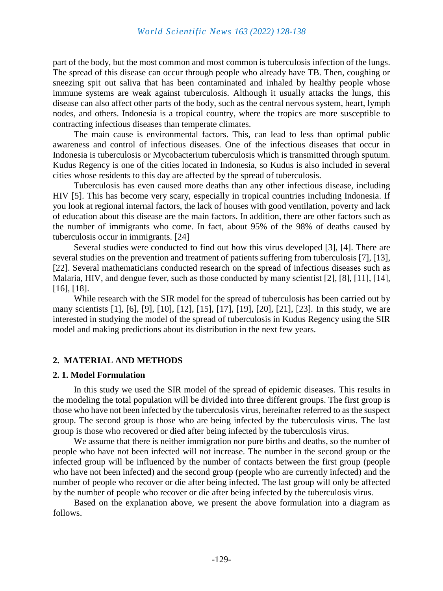part of the body, but the most common and most common is tuberculosis infection of the lungs. The spread of this disease can occur through people who already have TB. Then, coughing or sneezing spit out saliva that has been contaminated and inhaled by healthy people whose immune systems are weak against tuberculosis. Although it usually attacks the lungs, this disease can also affect other parts of the body, such as the central nervous system, heart, lymph nodes, and others. Indonesia is a tropical country, where the tropics are more susceptible to contracting infectious diseases than temperate climates.

The main cause is environmental factors. This, can lead to less than optimal public awareness and control of infectious diseases. One of the infectious diseases that occur in Indonesia is tuberculosis or Mycobacterium tuberculosis which is transmitted through sputum. Kudus Regency is one of the cities located in Indonesia, so Kudus is also included in several cities whose residents to this day are affected by the spread of tuberculosis.

Tuberculosis has even caused more deaths than any other infectious disease, including HIV [5]. This has become very scary, especially in tropical countries including Indonesia. If you look at regional internal factors, the lack of houses with good ventilation, poverty and lack of education about this disease are the main factors. In addition, there are other factors such as the number of immigrants who come. In fact, about 95% of the 98% of deaths caused by tuberculosis occur in immigrants. [24]

Several studies were conducted to find out how this virus developed [3], [4]. There are several studies on the prevention and treatment of patients suffering from tuberculosis [7], [13], [22]. Several mathematicians conducted research on the spread of infectious diseases such as Malaria, HIV, and dengue fever, such as those conducted by many scientist [2], [8], [11], [14], [16], [18].

While research with the SIR model for the spread of tuberculosis has been carried out by many scientists [1], [6], [9], [10], [12], [15], [17], [19], [20], [21], [23]. In this study, we are interested in studying the model of the spread of tuberculosis in Kudus Regency using the SIR model and making predictions about its distribution in the next few years.

# **2. MATERIAL AND METHODS**

#### **2. 1. Model Formulation**

In this study we used the SIR model of the spread of epidemic diseases. This results in the modeling the total population will be divided into three different groups. The first group is those who have not been infected by the tuberculosis virus, hereinafter referred to as the suspect group. The second group is those who are being infected by the tuberculosis virus. The last group is those who recovered or died after being infected by the tuberculosis virus.

We assume that there is neither immigration nor pure births and deaths, so the number of people who have not been infected will not increase. The number in the second group or the infected group will be influenced by the number of contacts between the first group (people who have not been infected) and the second group (people who are currently infected) and the number of people who recover or die after being infected. The last group will only be affected by the number of people who recover or die after being infected by the tuberculosis virus.

Based on the explanation above, we present the above formulation into a diagram as follows.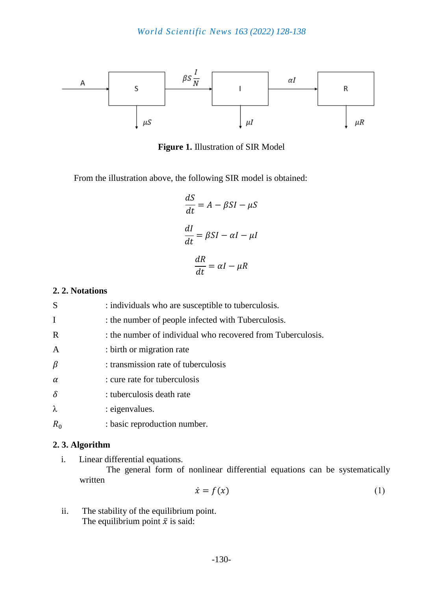

**Figure 1.** Illustration of SIR Model

From the illustration above, the following SIR model is obtained:

$$
\frac{dS}{dt} = A - \beta SI - \mu S
$$

$$
\frac{dI}{dt} = \beta SI - \alpha I - \mu I
$$

$$
\frac{dR}{dt} = \alpha I - \mu R
$$

# **2. 2. Notations**

| S            | : individuals who are susceptible to tuberculosis.          |
|--------------|-------------------------------------------------------------|
| I            | : the number of people infected with Tuberculosis.          |
| $\mathbf R$  | : the number of individual who recovered from Tuberculosis. |
| $\mathbf{A}$ | : birth or migration rate                                   |
| $\beta$      | : transmission rate of tuberculosis                         |
| $\alpha$     | : cure rate for tuberculosis                                |
| $\delta$     | : tuberculosis death rate                                   |
| λ            | : eigenvalues.                                              |
| $R_0$        | : basic reproduction number.                                |

# **2. 3. Algorithm**

i. Linear differential equations.

The general form of nonlinear differential equations can be systematically written

$$
\dot{x} = f(x) \tag{1}
$$

ii. The stability of the equilibrium point. The equilibrium point  $\bar{x}$  is said: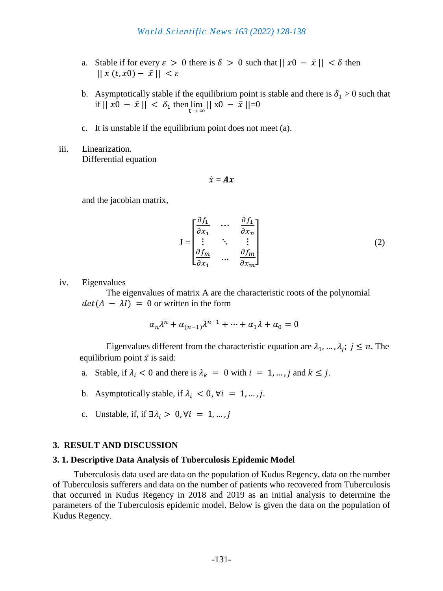- a. Stable if for every  $\varepsilon > 0$  there is  $\delta > 0$  such that  $||x0 \overline{x}|| < \delta$  then  $|| x(t, x0) - \overline{x} || < \varepsilon$
- b. Asymptotically stable if the equilibrium point is stable and there is  $\delta_1 > 0$  such that if  $||x0 - \bar{x}|| < δ_1$  then  $\lim_{t \to \infty} ||x0 - \bar{x}|| = 0$
- c. It is unstable if the equilibrium point does not meet (a).
- iii. Linearization. Differential equation

$$
\dot{\mathbf{x}} = \mathbf{A}\mathbf{x}
$$

and the jacobian matrix,

$$
J = \begin{bmatrix} \frac{\partial f_1}{\partial x_1} & \cdots & \frac{\partial f_1}{\partial x_n} \\ \vdots & \ddots & \vdots \\ \frac{\partial f_m}{\partial x_1} & \cdots & \frac{\partial f_m}{\partial x_m} \end{bmatrix}
$$
 (2)

iv. Eigenvalues

The eigenvalues of matrix A are the characteristic roots of the polynomial  $det(A - \lambda I) = 0$  or written in the form

$$
\alpha_n \lambda^n + \alpha_{(n-1)} \lambda^{n-1} + \dots + \alpha_1 \lambda + \alpha_0 = 0
$$

Eigenvalues different from the characteristic equation are  $\lambda_1, \dots, \lambda_j$ ;  $j \leq n$ . The equilibrium point  $\bar{x}$  is said:

- a. Stable, if  $\lambda_i < 0$  and there is  $\lambda_k = 0$  with  $i = 1, ..., j$  and  $k \leq j$ .
- b. Asymptotically stable, if  $\lambda_i < 0$ ,  $\forall i = 1, ..., j$ .
- c. Unstable, if, if  $\exists \lambda_i > 0, \forall i = 1, ..., j$

#### **3. RESULT AND DISCUSSION**

#### **3. 1. Descriptive Data Analysis of Tuberculosis Epidemic Model**

Tuberculosis data used are data on the population of Kudus Regency, data on the number of Tuberculosis sufferers and data on the number of patients who recovered from Tuberculosis that occurred in Kudus Regency in 2018 and 2019 as an initial analysis to determine the parameters of the Tuberculosis epidemic model. Below is given the data on the population of Kudus Regency.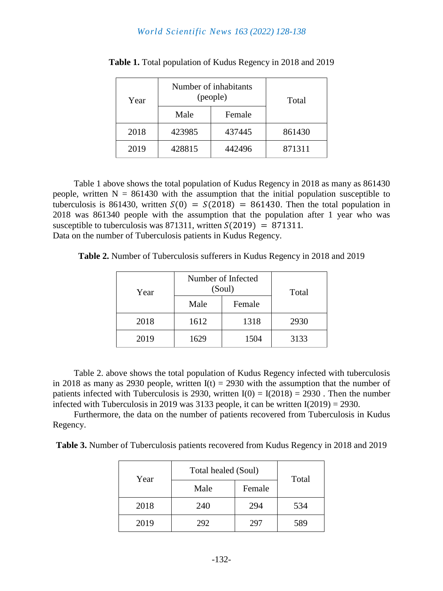| Year | Number of inhabitants<br>(people) |        | Total  |
|------|-----------------------------------|--------|--------|
|      | Male                              | Female |        |
| 2018 | 423985                            | 437445 | 861430 |
| 2019 | 428815                            | 442496 | 871311 |

**Table 1.** Total population of Kudus Regency in 2018 and 2019

Table 1 above shows the total population of Kudus Regency in 2018 as many as 861430 people, written  $N = 861430$  with the assumption that the initial population susceptible to tuberculosis is 861430, written  $S(0) = S(2018) = 861430$ . Then the total population in 2018 was 861340 people with the assumption that the population after 1 year who was susceptible to tuberculosis was 871311, written  $S(2019) = 871311$ . Data on the number of Tuberculosis patients in Kudus Regency.

**Table 2.** Number of Tuberculosis sufferers in Kudus Regency in 2018 and 2019

| Year | Number of Infected<br>(Soul) |        | Total |
|------|------------------------------|--------|-------|
|      | Male                         | Female |       |
| 2018 | 1612                         | 1318   | 2930  |
| 2019 | 1629                         | 1504   | 3133  |

Table 2. above shows the total population of Kudus Regency infected with tuberculosis in 2018 as many as 2930 people, written  $I(t) = 2930$  with the assumption that the number of patients infected with Tuberculosis is 2930, written  $I(0) = I(2018) = 2930$ . Then the number infected with Tuberculosis in 2019 was 3133 people, it can be written  $I(2019) = 2930$ .

Furthermore, the data on the number of patients recovered from Tuberculosis in Kudus Regency.

**Table 3.** Number of Tuberculosis patients recovered from Kudus Regency in 2018 and 2019

| Year | Total healed (Soul) | Total  |     |
|------|---------------------|--------|-----|
|      | Male                | Female |     |
| 2018 | 240                 | 294    | 534 |
| 2019 | 292                 | 297    | 589 |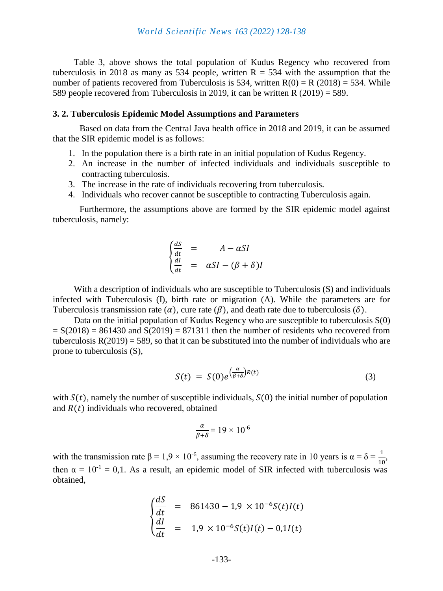Table 3, above shows the total population of Kudus Regency who recovered from tuberculosis in 2018 as many as 534 people, written  $R = 534$  with the assumption that the number of patients recovered from Tuberculosis is 534, written  $R(0) = R(2018) = 534$ . While 589 people recovered from Tuberculosis in 2019, it can be written R (2019) = 589.

### **3. 2. Tuberculosis Epidemic Model Assumptions and Parameters**

Based on data from the Central Java health office in 2018 and 2019, it can be assumed that the SIR epidemic model is as follows:

- 1. In the population there is a birth rate in an initial population of Kudus Regency.
- 2. An increase in the number of infected individuals and individuals susceptible to contracting tuberculosis.
- 3. The increase in the rate of individuals recovering from tuberculosis.
- 4. Individuals who recover cannot be susceptible to contracting Tuberculosis again.

Furthermore, the assumptions above are formed by the SIR epidemic model against tuberculosis, namely:

$$
\begin{cases}\n\frac{dS}{dt} = A - \alpha SI \\
\frac{dI}{dt} = \alpha SI - (\beta + \delta)I\n\end{cases}
$$

With a description of individuals who are susceptible to Tuberculosis (S) and individuals infected with Tuberculosis (I), birth rate or migration (A). While the parameters are for Tuberculosis transmission rate  $(\alpha)$ , cure rate  $(\beta)$ , and death rate due to tuberculosis  $(\delta)$ .

Data on the initial population of Kudus Regency who are susceptible to tuberculosis S(0)  $= S(2018) = 861430$  and  $S(2019) = 871311$  then the number of residents who recovered from tuberculosis  $R(2019) = 589$ , so that it can be substituted into the number of individuals who are prone to tuberculosis (S),

$$
S(t) = S(0)e^{\left(\frac{\alpha}{\beta+\delta}\right)R(t)} \tag{3}
$$

with  $S(t)$ , namely the number of susceptible individuals,  $S(0)$  the initial number of population and  $R(t)$  individuals who recovered, obtained

$$
\frac{\alpha}{\beta+\delta} = 19 \times 10^{-6}
$$

with the transmission rate  $\beta = 1.9 \times 10^{-6}$ , assuming the recovery rate in 10 years is  $\alpha = \delta = \frac{1}{10}$ , then  $\alpha = 10^{-1} = 0.1$ . As a result, an epidemic model of SIR infected with tuberculosis was obtained,

$$
\begin{cases}\n\frac{dS}{dt} & = 861430 - 1.9 \times 10^{-6} S(t) I(t) \\
\frac{dI}{dt} & = 1.9 \times 10^{-6} S(t) I(t) - 0.1 I(t)\n\end{cases}
$$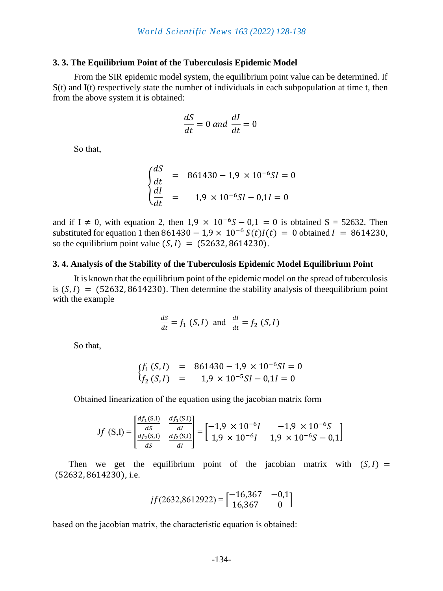#### **3. 3. The Equilibrium Point of the Tuberculosis Epidemic Model**

From the SIR epidemic model system, the equilibrium point value can be determined. If S(t) and I(t) respectively state the number of individuals in each subpopulation at time t, then from the above system it is obtained:

$$
\frac{dS}{dt} = 0 \text{ and } \frac{dI}{dt} = 0
$$

So that,

$$
\begin{cases}\n\frac{dS}{dt} & = 861430 - 1.9 \times 10^{-6} SI = 0 \\
\frac{dI}{dt} & = 1.9 \times 10^{-6} SI - 0.1 I = 0\n\end{cases}
$$

and if I  $\neq$  0, with equation 2, then 1,9  $\times$  10<sup>-6</sup>S – 0,1 = 0 is obtained S = 52632. Then substituted for equation 1 then  $861430 - 1.9 \times 10^{-6} S(t)I(t) = 0$  obtained  $I = 8614230$ , so the equilibrium point value  $(S, I) = (52632, 8614230)$ .

#### **3. 4. Analysis of the Stability of the Tuberculosis Epidemic Model Equilibrium Point**

It is known that the equilibrium point of the epidemic model on the spread of tuberculosis is  $(S, I) = (52632, 8614230)$ . Then determine the stability analysis of the equilibrium point with the example

$$
\frac{dS}{dt} = f_1(S, I) \text{ and } \frac{dI}{dt} = f_2(S, I)
$$

So that,

$$
\begin{array}{rcl}\nf_1(S,I) & = & 861430 - 1.9 \times 10^{-6} \text{SI} = 0 \\
f_2(S,I) & = & 1.9 \times 10^{-5} \text{SI} - 0.1 \text{I} = 0\n\end{array}
$$

Obtained linearization of the equation using the jacobian matrix form

$$
Jf(S,I) = \begin{bmatrix} \frac{df_1(S,I)}{dS} & \frac{df_1(S,I)}{dI} \\ \frac{df_2(S,I)}{dS} & \frac{df_2(S,I)}{dI} \end{bmatrix} = \begin{bmatrix} -1.9 \times 10^{-6}I & -1.9 \times 10^{-6}S \\ 1.9 \times 10^{-6}I & 1.9 \times 10^{-6}S - 0.1 \end{bmatrix}
$$

Then we get the equilibrium point of the jacobian matrix with  $(S, I)$  = (52632, 8614230), i.e.

$$
jf(2632,8612922) = \begin{bmatrix} -16,367 & -0,1 \\ 16,367 & 0 \end{bmatrix}
$$

based on the jacobian matrix, the characteristic equation is obtained: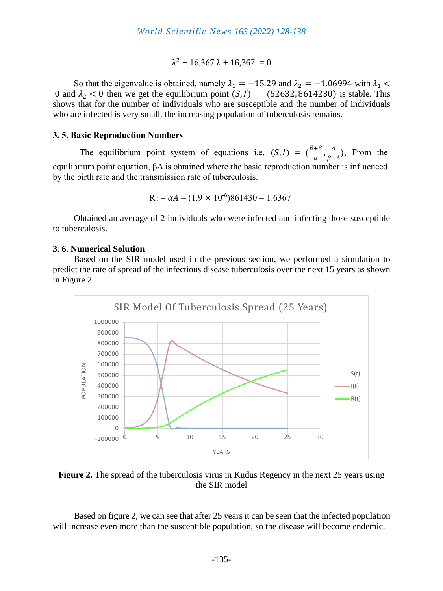$$
\lambda^2 + 16{,}367\ \lambda + 16{,}367\ = 0
$$

So that the eigenvalue is obtained, namely  $\lambda_1 = -15.29$  and  $\lambda_2 = -1.06994$  with  $\lambda_1$  < 0 and  $\lambda_2$  < 0 then we get the equilibrium point  $(S, I) = (52632, 8614230)$  is stable. This shows that for the number of individuals who are susceptible and the number of individuals who are infected is very small, the increasing population of tuberculosis remains.

#### **3. 5. Basic Reproduction Numbers**

The equilibrium point system of equations i.e.  $(S, I) = \left(\frac{\beta + \delta}{g}\right)$  $\frac{+\delta}{\alpha}$ ,  $\frac{A}{\beta +}$  $\frac{A}{\beta+\delta}$ ), From the equilibrium point equation, βA is obtained where the basic reproduction number is influenced by the birth rate and the transmission rate of tuberculosis.

$$
R_0 = \alpha A = (1.9 \times 10^{-6})861430 = 1.6367
$$

Obtained an average of 2 individuals who were infected and infecting those susceptible to tuberculosis.

#### **3. 6. Numerical Solution**

Based on the SIR model used in the previous section, we performed a simulation to predict the rate of spread of the infectious disease tuberculosis over the next 15 years as shown in Figure 2.



**Figure 2.** The spread of the tuberculosis virus in Kudus Regency in the next 25 years using the SIR model

Based on figure 2, we can see that after 25 years it can be seen that the infected population will increase even more than the susceptible population, so the disease will become endemic.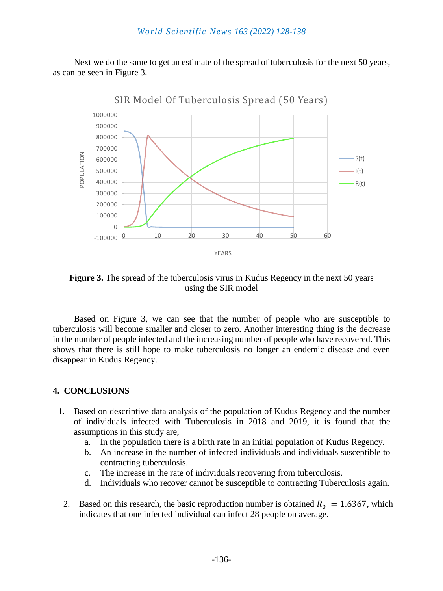Next we do the same to get an estimate of the spread of tuberculosis for the next 50 years, as can be seen in Figure 3.



**Figure 3.** The spread of the tuberculosis virus in Kudus Regency in the next 50 years using the SIR model

Based on Figure 3, we can see that the number of people who are susceptible to tuberculosis will become smaller and closer to zero. Another interesting thing is the decrease in the number of people infected and the increasing number of people who have recovered. This shows that there is still hope to make tuberculosis no longer an endemic disease and even disappear in Kudus Regency.

# **4. CONCLUSIONS**

- 1. Based on descriptive data analysis of the population of Kudus Regency and the number of individuals infected with Tuberculosis in 2018 and 2019, it is found that the assumptions in this study are,
	- a. In the population there is a birth rate in an initial population of Kudus Regency.
	- b. An increase in the number of infected individuals and individuals susceptible to contracting tuberculosis.
	- c. The increase in the rate of individuals recovering from tuberculosis.
	- d. Individuals who recover cannot be susceptible to contracting Tuberculosis again.
	- 2. Based on this research, the basic reproduction number is obtained  $R_0 = 1.6367$ , which indicates that one infected individual can infect 28 people on average.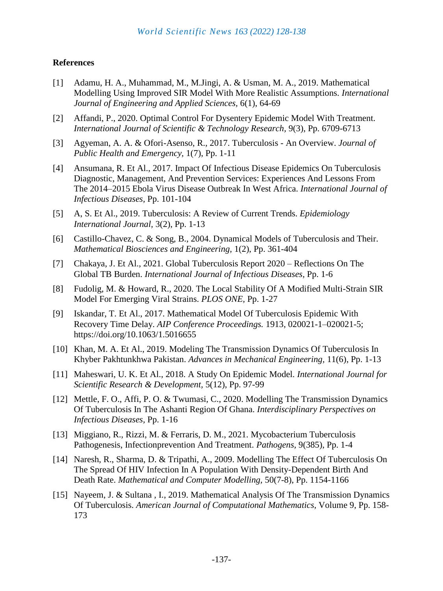# **References**

- [1] Adamu, H. A., Muhammad, M., M.Jingi, A. & Usman, M. A., 2019. Mathematical Modelling Using Improved SIR Model With More Realistic Assumptions. *International Journal of Engineering and Applied Sciences,* 6(1), 64-69
- [2] Affandi, P., 2020. Optimal Control For Dysentery Epidemic Model With Treatment. *International Journal of Scientific & Technology Research,* 9(3), Pp. 6709-6713
- [3] Agyeman, A. A. & Ofori-Asenso, R., 2017. Tuberculosis An Overview. *Journal of Public Health and Emergency,* 1(7), Pp. 1-11
- [4] Ansumana, R. Et Al., 2017. Impact Of Infectious Disease Epidemics On Tuberculosis Diagnostic, Management, And Prevention Services: Experiences And Lessons From The 2014–2015 Ebola Virus Disease Outbreak In West Africa. *International Journal of Infectious Diseases,* Pp. 101-104
- [5] A, S. Et Al., 2019. Tuberculosis: A Review of Current Trends. *Epidemiology International Journal,* 3(2), Pp. 1-13
- [6] Castillo-Chavez, C. & Song, B., 2004. Dynamical Models of Tuberculosis and Their. *Mathematical Biosciences and Engineering,* 1(2), Pp. 361-404
- [7] Chakaya, J. Et Al., 2021. Global Tuberculosis Report 2020 Reflections On The Global TB Burden. *International Journal of Infectious Diseases,* Pp. 1-6
- [8] Fudolig, M. & Howard, R., 2020. The Local Stability Of A Modified Multi-Strain SIR Model For Emerging Viral Strains. *PLOS ONE,* Pp. 1-27
- [9] Iskandar, T. Et Al., 2017. Mathematical Model Of Tuberculosis Epidemic With Recovery Time Delay. *AIP Conference Proceedings.* 1913, 020021-1–020021-5; https://doi.org/10.1063/1.5016655
- [10] Khan, M. A. Et Al., 2019. Modeling The Transmission Dynamics Of Tuberculosis In Khyber Pakhtunkhwa Pakistan. *Advances in Mechanical Engineering,* 11(6), Pp. 1-13
- [11] Maheswari, U. K. Et Al., 2018. A Study On Epidemic Model. *International Journal for Scientific Research & Development,* 5(12), Pp. 97-99
- [12] Mettle, F. O., Affi, P. O. & Twumasi, C., 2020. Modelling The Transmission Dynamics Of Tuberculosis In The Ashanti Region Of Ghana. *Interdisciplinary Perspectives on Infectious Diseases,* Pp. 1-16
- [13] Miggiano, R., Rizzi, M. & Ferraris, D. M., 2021. Mycobacterium Tuberculosis Pathogenesis, Infectionprevention And Treatment. *Pathogens,* 9(385), Pp. 1-4
- [14] Naresh, R., Sharma, D. & Tripathi, A., 2009. Modelling The Effect Of Tuberculosis On The Spread Of HIV Infection In A Population With Density-Dependent Birth And Death Rate. *Mathematical and Computer Modelling,* 50(7-8), Pp. 1154-1166
- [15] Nayeem, J. & Sultana , I., 2019. Mathematical Analysis Of The Transmission Dynamics Of Tuberculosis. *American Journal of Computational Mathematics,* Volume 9, Pp. 158- 173